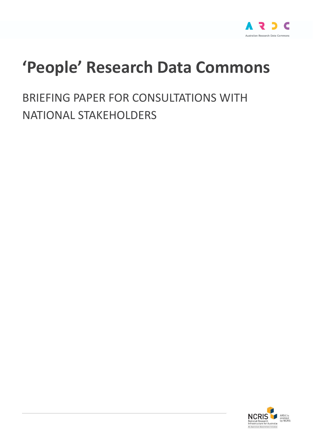

# **'People' Research Data Commons**

BRIEFING PAPER FOR CONSULTATIONS WITH NATIONAL STAKEHOLDERS

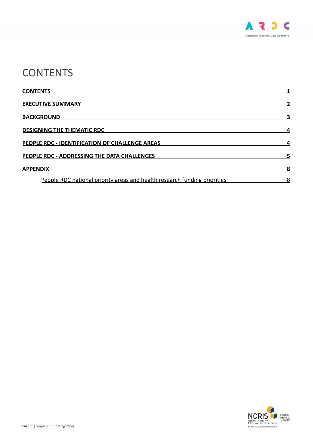

## <span id="page-1-0"></span>**CONTENTS**

| <b>CONTENTS</b><br><b>EXECUTIVE SUMMARY</b><br><b>BACKGROUND</b><br><b>DESIGNING THE THEMATIC RDC</b><br>PEOPLE RDC - IDENTIFICATION OF CHALLENGE AREAS |  |                                                                           |  |
|---------------------------------------------------------------------------------------------------------------------------------------------------------|--|---------------------------------------------------------------------------|--|
|                                                                                                                                                         |  | PEOPLE RDC - ADDRESSING THE DATA CHALLENGES                               |  |
|                                                                                                                                                         |  | <b>APPENDIX</b>                                                           |  |
|                                                                                                                                                         |  | People RDC national priority areas and health research funding priorities |  |

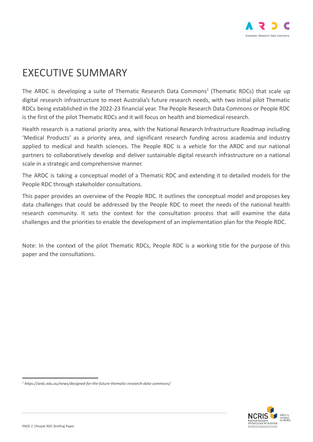

### <span id="page-2-0"></span>EXECUTIVE SUMMARY

The ARDC is developing a suite of Thematic Research Data Commons<sup>1</sup> (Thematic RDCs) that scale up digital research infrastructure to meet Australia's future research needs, with two initial pilot Thematic RDCs being established in the 2022-23 financial year. The People Research Data Commons or People RDC is the first of the pilot Thematic RDCs and it will focus on health and biomedical research.

Health research is a national priority area, with the National Research Infrastructure Roadmap including 'Medical Products' as a priority area, and significant research funding across academia and industry applied to medical and health sciences. The People RDC is a vehicle for the ARDC and our national partners to collaboratively develop and deliver sustainable digital research infrastructure on a national scale in a strategic and comprehensive manner.

The ARDC is taking a conceptual model of a Thematic RDC and extending it to detailed models for the People RDC through stakeholder consultations.

This paper provides an overview of the People RDC. It outlines the conceptual model and proposes key data challenges that could be addressed by the People RDC to meet the needs of the national health research community. It sets the context for the consultation process that will examine the data challenges and the priorities to enable the development of an implementation plan for the People RDC.

Note: In the context of the pilot Thematic RDCs, People RDC is a working title for the purpose of this paper and the consultations.



*<sup>1</sup> https://ardc.edu.au/news/designed-for-the-future-thematic-research-data-commons/*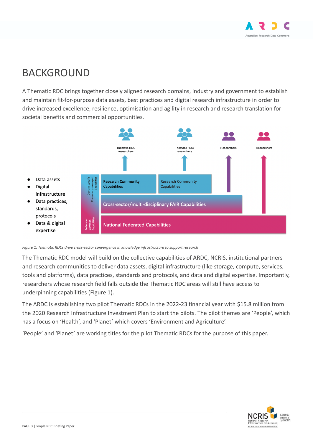

### <span id="page-3-0"></span>BACKGROUND

A Thematic RDC brings together closely aligned research domains, industry and government to establish and maintain fit-for-purpose data assets, best practices and digital research infrastructure in order to drive increased excellence, resilience, optimisation and agility in research and research translation for societal benefits and commercial opportunities.



*Figure 1: Thematic RDCs drive cross-sector convergence in knowledge infrastructure to support research*

The Thematic RDC model will build on the collective capabilities of ARDC, NCRIS, institutional partners and research communities to deliver data assets, digital infrastructure (like storage, compute, services, tools and platforms), data practices, standards and protocols, and data and digital expertise. Importantly, researchers whose research field falls outside the Thematic RDC areas will still have access to underpinning capabilities (Figure 1).

The ARDC is establishing two pilot Thematic RDCs in the 2022-23 financial year with \$15.8 million from the 2020 Research Infrastructure Investment Plan to start the pilots. The pilot themes are 'People', which has a focus on 'Health', and 'Planet' which covers 'Environment and Agriculture'.

'People' and 'Planet' are working titles for the pilot Thematic RDCs for the purpose of this paper.

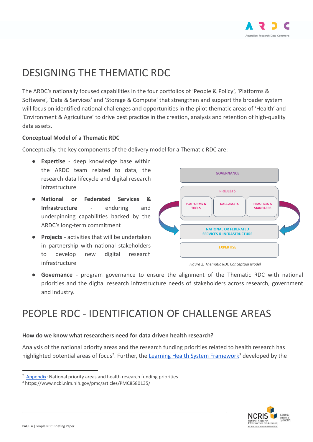

# <span id="page-4-0"></span>DESIGNING THE THEMATIC RDC

The ARDC's nationally focused capabilities in the four portfolios of 'People & Policy', 'Platforms & Software', 'Data & Services' and 'Storage & Compute' that strengthen and support the broader system will focus on identified national challenges and opportunities in the pilot thematic areas of 'Health' and 'Environment & Agriculture' to drive best practice in the creation, analysis and retention of high-quality data assets.

#### **Conceptual Model of a Thematic RDC**

Conceptually, the key components of the delivery model for a Thematic RDC are:

- **Expertise** deep knowledge base within the ARDC team related to data, the research data lifecycle and digital research infrastructure
- **National or Federated Services & Infrastructure** - enduring and underpinning capabilities backed by the ARDC's long-term commitment
- **Projects** activities that will be undertaken in partnership with national stakeholders to develop new digital research infrastructure *Figure 2: Thematic RDC Conceptual Model*





**Governance** - program governance to ensure the alignment of the Thematic RDC with national priorities and the digital research infrastructure needs of stakeholders across research, government and industry.

### <span id="page-4-1"></span>PEOPLE RDC - IDENTIFICATION OF CHALLENGE AREAS

#### **How do we know what researchers need for data driven health research?**

Analysis of the national priority areas and the research funding priorities related to health research has highlighted potential areas of focus<sup>2</sup>. Further, the [Learning Health System Framework](https://www.ncbi.nlm.nih.gov/pmc/articles/PMC8580135/)<sup>3</sup> developed by the



 $2$  [Appendix](#page-8-0): National priority areas and health research funding priorities

<sup>3</sup> https://www.ncbi.nlm.nih.gov/pmc/articles/PMC8580135/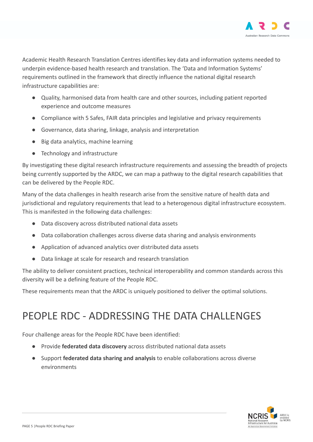

Academic Health Research Translation Centres identifies key data and information systems needed to underpin evidence-based health research and translation. The 'Data and Information Systems' requirements outlined in the framework that directly influence the national digital research infrastructure capabilities are:

- Quality, harmonised data from health care and other sources, including patient reported experience and outcome measures
- Compliance with 5 Safes, FAIR data principles and legislative and privacy requirements
- Governance, data sharing, linkage, analysis and interpretation
- Big data analytics, machine learning
- Technology and infrastructure

By investigating these digital research infrastructure requirements and assessing the breadth of projects being currently supported by the ARDC, we can map a pathway to the digital research capabilities that can be delivered by the People RDC.

Many of the data challenges in health research arise from the sensitive nature of health data and jurisdictional and regulatory requirements that lead to a heterogenous digital infrastructure ecosystem. This is manifested in the following data challenges:

- Data discovery across distributed national data assets
- Data collaboration challenges across diverse data sharing and analysis environments
- Application of advanced analytics over distributed data assets
- Data linkage at scale for research and research translation

The ability to deliver consistent practices, technical interoperability and common standards across this diversity will be a defining feature of the People RDC.

These requirements mean that the ARDC is uniquely positioned to deliver the optimal solutions.

# <span id="page-5-0"></span>PEOPLE RDC - ADDRESSING THE DATA CHALLENGES

Four challenge areas for the People RDC have been identified:

- Provide **federated data discovery** across distributed national data assets
- Support **federated data sharing and analysis** to enable collaborations across diverse environments

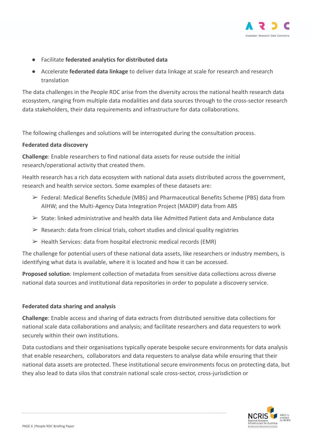

- Facilitate **federated analytics for distributed data**
- Accelerate **federated data linkage** to deliver data linkage at scale for research and research translation

The data challenges in the People RDC arise from the diversity across the national health research data ecosystem, ranging from multiple data modalities and data sources through to the cross-sector research data stakeholders, their data requirements and infrastructure for data collaborations.

The following challenges and solutions will be interrogated during the consultation process.

#### **Federated data discovery**

**Challenge**: Enable researchers to find national data assets for reuse outside the initial research/operational activity that created them.

Health research has a rich data ecosystem with national data assets distributed across the government, research and health service sectors. Some examples of these datasets are:

- ➢ Federal: Medical Benefits Schedule (MBS) and Pharmaceutical Benefits Scheme (PBS) data from AIHW; and the Multi-Agency Data Integration Project (MADIP) data from ABS
- $\triangleright$  State: linked administrative and health data like Admitted Patient data and Ambulance data
- $\triangleright$  Research: data from clinical trials, cohort studies and clinical quality registries
- $\triangleright$  Health Services: data from hospital electronic medical records (EMR)

The challenge for potential users of these national data assets, like researchers or industry members, is identifying what data is available, where it is located and how it can be accessed.

**Proposed solution**: Implement collection of metadata from sensitive data collections across diverse national data sources and institutional data repositories in order to populate a discovery service.

#### **Federated data sharing and analysis**

**Challenge**: Enable access and sharing of data extracts from distributed sensitive data collections for national scale data collaborations and analysis; and facilitate researchers and data requesters to work securely within their own institutions.

Data custodians and their organisations typically operate bespoke secure environments for data analysis that enable researchers, collaborators and data requesters to analyse data while ensuring that their national data assets are protected. These institutional secure environments focus on protecting data, but they also lead to data silos that constrain national scale cross-sector, cross-jurisdiction or

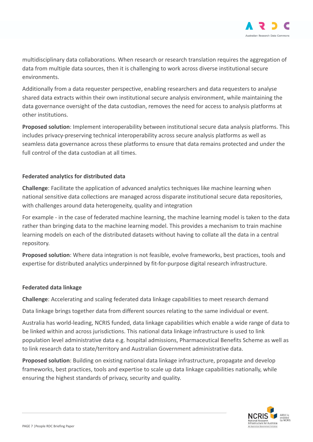

multidisciplinary data collaborations. When research or research translation requires the aggregation of data from multiple data sources, then it is challenging to work across diverse institutional secure environments.

Additionally from a data requester perspective, enabling researchers and data requesters to analyse shared data extracts within their own institutional secure analysis environment, while maintaining the data governance oversight of the data custodian, removes the need for access to analysis platforms at other institutions.

**Proposed solution**: Implement interoperability between institutional secure data analysis platforms. This includes privacy-preserving technical interoperability across secure analysis platforms as well as seamless data governance across these platforms to ensure that data remains protected and under the full control of the data custodian at all times.

#### **Federated analytics for distributed data**

**Challenge**: Facilitate the application of advanced analytics techniques like machine learning when national sensitive data collections are managed across disparate institutional secure data repositories, with challenges around data heterogeneity, quality and integration

For example - in the case of federated machine learning, the machine learning model is taken to the data rather than bringing data to the machine learning model. This provides a mechanism to train machine learning models on each of the distributed datasets without having to collate all the data in a central repository.

**Proposed solution**: Where data integration is not feasible, evolve frameworks, best practices, tools and expertise for distributed analytics underpinned by fit-for-purpose digital research infrastructure.

#### **Federated data linkage**

**Challenge**: Accelerating and scaling federated data linkage capabilities to meet research demand

Data linkage brings together data from different sources relating to the same individual or event.

Australia has world-leading, NCRIS funded, data linkage capabilities which enable a wide range of data to be linked within and across jurisdictions. This national data linkage infrastructure is used to link population level administrative data e.g. hospital admissions, Pharmaceutical Benefits Scheme as well as to link research data to state/territory and Australian Government administrative data.

**Proposed solution**: Building on existing national data linkage infrastructure, propagate and develop frameworks, best practices, tools and expertise to scale up data linkage capabilities nationally, while ensuring the highest standards of privacy, security and quality.

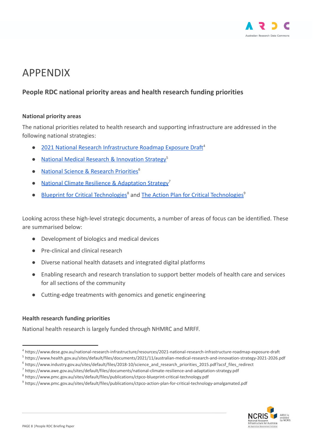

# <span id="page-8-0"></span>APPENDIX

#### <span id="page-8-1"></span>**People RDC national priority areas and health research funding priorities**

#### **National priority areas**

The national priorities related to health research and supporting infrastructure are addressed in the following national strategies:

- [2021 National Research Infrastructure Roadmap Exposure Draft](https://www.dese.gov.au/national-research-infrastructure/resources/2021-national-research-infrastructure-roadmap-exposure-draft)<sup>4</sup>
- [National Medical Research & Innovation Strategy](https://www.health.gov.au/sites/default/files/documents/2021/11/australian-medical-research-and-innovation-strategy-2021-2026.pdf)<sup>5</sup>
- [National Science & Research Priorities](https://www.industry.gov.au/sites/default/files/2018-10/science_and_research_priorities_2015.pdf?acsf_files_redirect)<sup>6</sup>
- [National Climate Resilience & Adaptation Strategy](https://www.awe.gov.au/sites/default/files/documents/national-climate-resilience-and-adaptation-strategy.pdf)<sup>7</sup>
- [Blueprint for Critical Technologies](https://www.pmc.gov.au/sites/default/files/publications/ctpco-blueprint-critical-technology.pdf)<sup>8</sup> and The Action [Plan for Critical Technologies](https://www.pmc.gov.au/sites/default/files/publications/ctpco-action-plan-for-critical-technology-amalgamated.pdf)<sup>9</sup>

Looking across these high-level strategic documents, a number of areas of focus can be identified. These are summarised below:

- Development of biologics and medical devices
- Pre-clinical and clinical research
- Diverse national health datasets and integrated digital platforms
- Enabling research and research translation to support better models of health care and services for all sections of the community
- Cutting-edge treatments with genomics and genetic engineering

#### **Health research funding priorities**

National health research is largely funded through NHMRC and MRFF.

<sup>9</sup> https://www.pmc.gov.au/sites/default/files/publications/ctpco-action-plan-for-critical-technology-amalgamated.pdf



<sup>4</sup> https://www.dese.gov.au/national-research-infrastructure/resources/2021-national-research-infrastructure-roadmap-exposure-draft

<sup>5</sup> https://www.health.gov.au/sites/default/files/documents/2021/11/australian-medical-research-and-innovation-strategy-2021-2026.pdf

<sup>6</sup> https://www.industry.gov.au/sites/default/files/2018-10/science\_and\_research\_priorities\_2015.pdf?acsf\_files\_redirect

<sup>7</sup> https://www.awe.gov.au/sites/default/files/documents/national-climate-resilience-and-adaptation-strategy.pdf

<sup>8</sup> https://www.pmc.gov.au/sites/default/files/publications/ctpco-blueprint-critical-technology.pdf